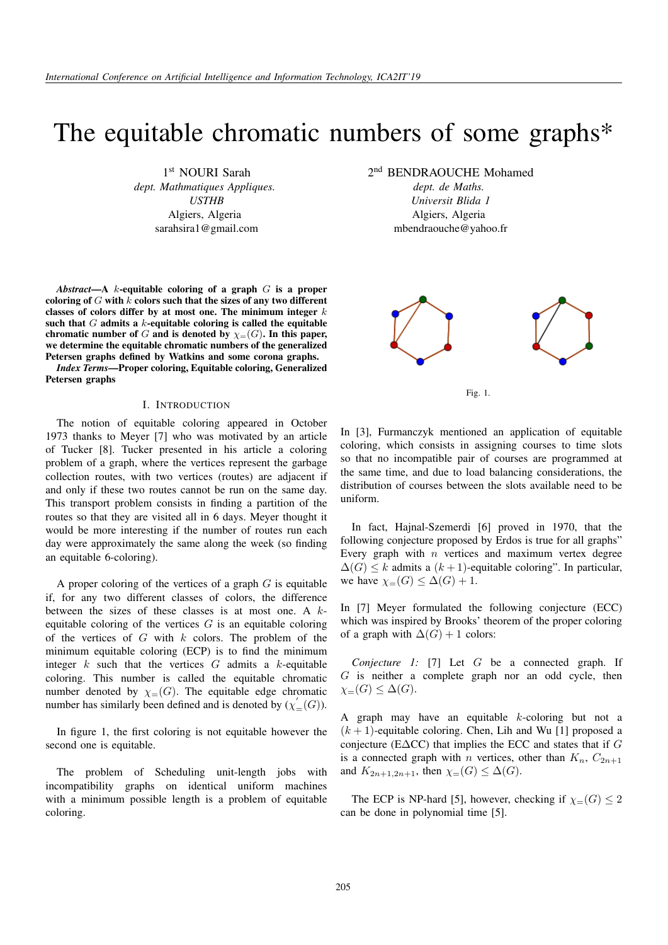# The equitable chromatic numbers of some graphs\*

1 st NOURI Sarah*dept. Mathmatiques Appliques. USTHB* Algiers, Algeria sarahsira1@gmail.com

*Abstract*—A k-equitable coloring of a graph G is a proper coloring of  $G$  with  $k$  colors such that the sizes of any two different classes of colors differ by at most one. The minimum integer  $k$ such that  $G$  admits a  $k$ -equitable coloring is called the equitable chromatic number of G and is denoted by  $\chi=(G)$ . In this paper, we determine the equitable chromatic numbers of the generalized Petersen graphs defined by Watkins and some corona graphs.

*Index Terms*—Proper coloring, Equitable coloring, Generalized Petersen graphs

## I. INTRODUCTION

The notion of equitable coloring appeared in October 1973 thanks to Meyer [7] who was motivated by an article of Tucker [8]. Tucker presented in his article a coloring problem of a graph, where the vertices represent the garbage collection routes, with two vertices (routes) are adjacent if and only if these two routes cannot be run on the same day. This transport problem consists in finding a partition of the routes so that they are visited all in 6 days. Meyer thought it would be more interesting if the number of routes run each day were approximately the same along the week (so finding an equitable 6-coloring).

A proper coloring of the vertices of a graph  $G$  is equitable if, for any two different classes of colors, the difference between the sizes of these classes is at most one. A  $k$ equitable coloring of the vertices  $G$  is an equitable coloring of the vertices of  $G$  with  $k$  colors. The problem of the minimum equitable coloring (ECP) is to find the minimum integer  $k$  such that the vertices  $G$  admits a  $k$ -equitable coloring. This number is called the equitable chromatic number denoted by  $\chi=(G)$ . The equitable edge chromatic number has similarly been defined and is denoted by  $(\chi_{=}^{'}(G))$ .

In figure 1, the first coloring is not equitable however the second one is equitable.

The problem of Scheduling unit-length jobs with incompatibility graphs on identical uniform machines with a minimum possible length is a problem of equitable coloring.

2<sup>nd</sup> BENDRAOUCHE Mohamed

*dept. de Maths. Universit Blida 1* Algiers, Algeria mbendraouche@yahoo.fr





In [3], Furmanczyk mentioned an application of equitable coloring, which consists in assigning courses to time slots so that no incompatible pair of courses are programmed at the same time, and due to load balancing considerations, the distribution of courses between the slots available need to be uniform.

In fact, Hajnal-Szemerdi [6] proved in 1970, that the following conjecture proposed by Erdos is true for all graphs" Every graph with  $n$  vertices and maximum vertex degree  $\Delta(G) \leq k$  admits a  $(k+1)$ -equitable coloring". In particular, we have  $\chi_{=}(G) \leq \Delta(G) + 1$ .

In [7] Meyer formulated the following conjecture (ECC) which was inspired by Brooks' theorem of the proper coloring of a graph with  $\Delta(G) + 1$  colors:

*Conjecture 1:* [7] Let G be a connected graph. If G is neither a complete graph nor an odd cycle, then  $\chi_{=}(G) \leq \Delta(G).$ 

A graph may have an equitable  $k$ -coloring but not a  $(k + 1)$ -equitable coloring. Chen, Lih and Wu [1] proposed a conjecture (E∆CC) that implies the ECC and states that if G is a connected graph with *n* vertices, other than  $K_n$ ,  $C_{2n+1}$ and  $K_{2n+1,2n+1}$ , then  $\chi_{=}(G) \leq \Delta(G)$ .

The ECP is NP-hard [5], however, checking if  $\chi=(G) \leq 2$ can be done in polynomial time [5].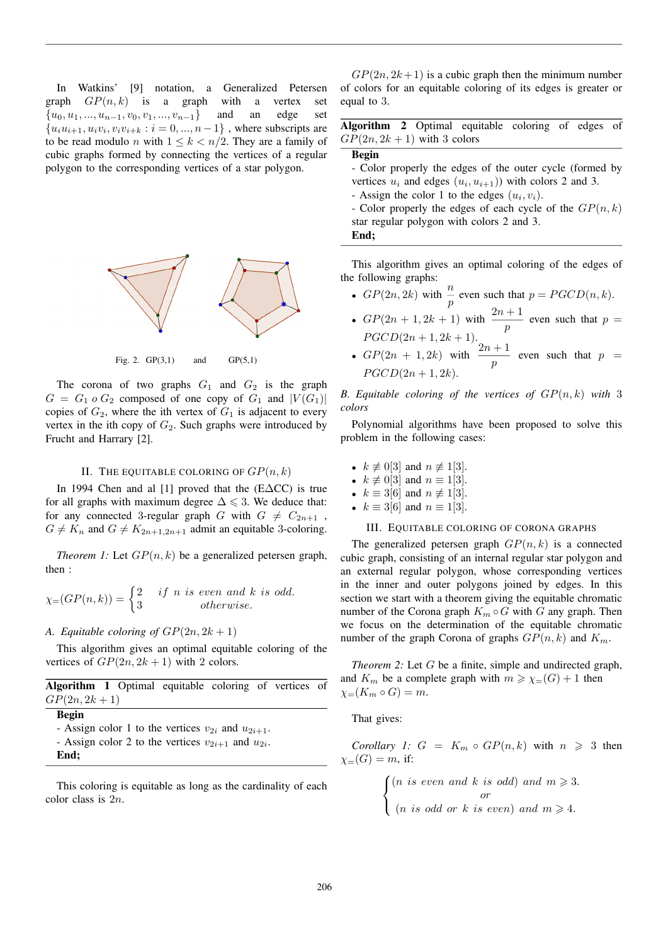In Watkins' [9] notation, a Generalized Petersen graph  $GP(n, k)$  is a graph with a vertex set  ${u_0, u_1, ..., u_{n-1}, v_0, v_1, ..., v_{n-1}}$  and an edge set  ${u_i u_{i+1}, u_i v_i, v_i v_{i+k} : i = 0, ..., n-1}$ , where subscripts are to be read modulo *n* with  $1 \leq k < n/2$ . They are a family of cubic graphs formed by connecting the vertices of a regular polygon to the corresponding vertices of a star polygon.



Fig. 2.  $GP(3,1)$  and  $GP(5,1)$ 

The corona of two graphs  $G_1$  and  $G_2$  is the graph  $G = G_1 \circ G_2$  composed of one copy of  $G_1$  and  $|V(G_1)|$ copies of  $G_2$ , where the ith vertex of  $G_1$  is adjacent to every vertex in the ith copy of  $G_2$ . Such graphs were introduced by Frucht and Harrary [2].

# II. THE EQUITABLE COLORING OF  $GP(n, k)$

In 1994 Chen and al [1] proved that the (E∆CC) is true for all graphs with maximum degree  $\Delta \leq 3$ . We deduce that: for any connected 3-regular graph G with  $G \neq C_{2n+1}$ ,  $G \neq K_n$  and  $G \neq K_{2n+1,2n+1}$  admit an equitable 3-coloring.

*Theorem 1:* Let  $GP(n, k)$  be a generalized petersen graph, then :

$$
\chi_{=} (GP(n,k)) = \begin{cases} 2 & if \ n \ is \ even \ and \ k \ is \ odd. \\ 3 & otherwise. \end{cases}
$$

# *A. Equitable coloring of*  $GP(2n, 2k + 1)$

This algorithm gives an optimal equitable coloring of the vertices of  $GP(2n, 2k + 1)$  with 2 colors.

| Algorithm 1 Optimal equitable coloring of vertices of |  |  |  |  |
|-------------------------------------------------------|--|--|--|--|
| $GP(2n, 2k + 1)$                                      |  |  |  |  |

# Begin

- Assign color 1 to the vertices  $v_{2i}$  and  $u_{2i+1}$ .

- Assign color 2 to the vertices  $v_{2i+1}$  and  $u_{2i}$ .

End;

This coloring is equitable as long as the cardinality of each color class is 2n.

 $GP(2n, 2k+1)$  is a cubic graph then the minimum number of colors for an equitable coloring of its edges is greater or equal to 3.

Algorithm 2 Optimal equitable coloring of edges of  $GP(2n, 2k + 1)$  with 3 colors

Begin

- Color properly the edges of the outer cycle (formed by vertices  $u_i$  and edges  $(u_i, u_{i+1})$  with colors 2 and 3.

- Assign the color 1 to the edges  $(u_i, v_i)$ .

- Color properly the edges of each cycle of the  $GP(n, k)$ star regular polygon with colors 2 and 3. End;

This algorithm gives an optimal coloring of the edges of the following graphs:

- $GP(2n, 2k)$  with  $\frac{n}{p}$  even such that  $p = PGCD(n, k)$ .
- $GP(2n + 1, 2k + 1)$  with  $\frac{2n+1}{p}$  even such that  $p =$  $PGCD(2n + 1, 2k + 1).$
- $GP(2n + 1, 2k)$  with  $\frac{2n+1}{p}$  even such that  $p =$  $PGCD(2n+1, 2k).$

*B. Equitable coloring of the vertices of* GP(n, k) *with* 3 *colors*

Polynomial algorithms have been proposed to solve this problem in the following cases:

- $k \not\equiv 0[3]$  and  $n \not\equiv 1[3]$ .
- $k \not\equiv 0$ [3] and  $n \equiv 1$ [3].
- $k \equiv 3[6]$  and  $n \not\equiv 1[3]$ .
- $k \equiv 3[6]$  and  $n \equiv 1[3]$ .

#### III. EQUITABLE COLORING OF CORONA GRAPHS

The generalized petersen graph  $GP(n, k)$  is a connected cubic graph, consisting of an internal regular star polygon and an external regular polygon, whose corresponding vertices in the inner and outer polygons joined by edges. In this section we start with a theorem giving the equitable chromatic number of the Corona graph  $K_m \circ G$  with G any graph. Then we focus on the determination of the equitable chromatic number of the graph Corona of graphs  $GP(n, k)$  and  $K_m$ .

*Theorem 2:* Let G be a finite, simple and undirected graph, and  $K_m$  be a complete graph with  $m \ge \chi_{=}(G) + 1$  then  $\chi_{=}(K_m \circ G) = m.$ 

That gives:

*Corollary 1:*  $G = K_m \circ GP(n, k)$  with  $n \geq 3$  then  $\chi_{-}(G) = m$ , if:

$$
\begin{cases} (n \text{ is even and } k \text{ is odd}) \text{ and } m \geqslant 3. \\ \text{or} \\ (n \text{ is odd or } k \text{ is even}) \text{ and } m \geqslant 4. \end{cases}
$$